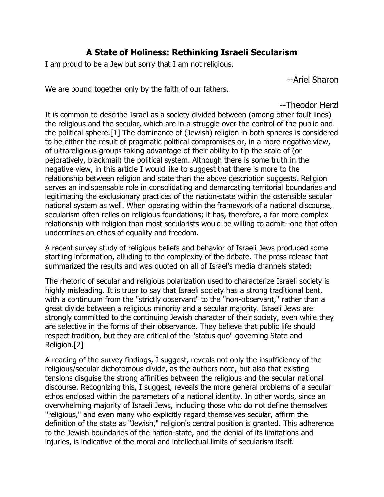# **A State of Holiness: Rethinking Israeli Secularism**

I am proud to be a Jew but sorry that I am not religious.

--Ariel Sharon

We are bound together only by the faith of our fathers.

--Theodor Herzl

It is common to describe Israel as a society divided between (among other fault lines) the religious and the secular, which are in a struggle over the control of the public and the political sphere.[1] The dominance of (Jewish) religion in both spheres is considered to be either the result of pragmatic political compromises or, in a more negative view, of ultrareligious groups taking advantage of their ability to tip the scale of (or pejoratively, blackmail) the political system. Although there is some truth in the negative view, in this article I would like to suggest that there is more to the relationship between religion and state than the above description suggests. Religion serves an indispensable role in consolidating and demarcating territorial boundaries and legitimating the exclusionary practices of the nation-state within the ostensible secular national system as well. When operating within the framework of a national discourse, secularism often relies on religious foundations; it has, therefore, a far more complex relationship with religion than most secularists would be willing to admit--one that often undermines an ethos of equality and freedom.

A recent survey study of religious beliefs and behavior of Israeli Jews produced some startling information, alluding to the complexity of the debate. The press release that summarized the results and was quoted on all of Israel's media channels stated:

The rhetoric of secular and religious polarization used to characterize Israeli society is highly misleading. It is truer to say that Israeli society has a strong traditional bent, with a continuum from the "strictly observant" to the "non-observant," rather than a great divide between a religious minority and a secular majority. Israeli Jews are strongly committed to the continuing Jewish character of their society, even while they are selective in the forms of their observance. They believe that public life should respect tradition, but they are critical of the "status quo" governing State and Religion.[2]

A reading of the survey findings, I suggest, reveals not only the insufficiency of the religious/secular dichotomous divide, as the authors note, but also that existing tensions disguise the strong affinities between the religious and the secular national discourse. Recognizing this, I suggest, reveals the more general problems of a secular ethos enclosed within the parameters of a national identity. In other words, since an overwhelming majority of Israeli Jews, including those who do not define themselves "religious," and even many who explicitly regard themselves secular, affirm the definition of the state as "Jewish," religion's central position is granted. This adherence to the Jewish boundaries of the nation-state, and the denial of its limitations and injuries, is indicative of the moral and intellectual limits of secularism itself.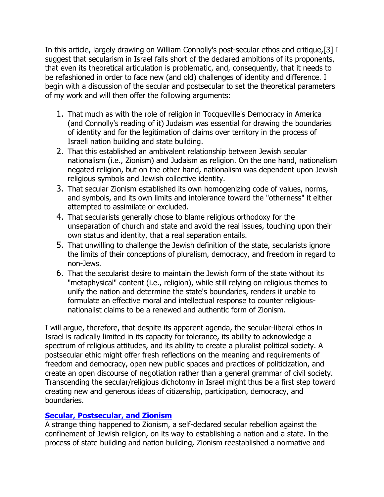In this article, largely drawing on William Connolly's post-secular ethos and critique,[3] I suggest that secularism in Israel falls short of the declared ambitions of its proponents, that even its theoretical articulation is problematic, and, consequently, that it needs to be refashioned in order to face new (and old) challenges of identity and difference. I begin with a discussion of the secular and postsecular to set the theoretical parameters of my work and will then offer the following arguments:

- 1. That much as with the role of religion in Tocqueville's Democracy in America (and Connolly's reading of it) Judaism was essential for drawing the boundaries of identity and for the legitimation of claims over territory in the process of Israeli nation building and state building.
- 2. That this established an ambivalent relationship between Jewish secular nationalism (i.e., Zionism) and Judaism as religion. On the one hand, nationalism negated religion, but on the other hand, nationalism was dependent upon Jewish religious symbols and Jewish collective identity.
- 3. That secular Zionism established its own homogenizing code of values, norms, and symbols, and its own limits and intolerance toward the "otherness" it either attempted to assimilate or excluded.
- 4. That secularists generally chose to blame religious orthodoxy for the unseparation of church and state and avoid the real issues, touching upon their own status and identity, that a real separation entails.
- 5. That unwilling to challenge the Jewish definition of the state, secularists ignore the limits of their conceptions of pluralism, democracy, and freedom in regard to non-Jews.
- 6. That the secularist desire to maintain the Jewish form of the state without its "metaphysical" content (i.e., religion), while still relying on religious themes to unify the nation and determine the state's boundaries, renders it unable to formulate an effective moral and intellectual response to counter religiousnationalist claims to be a renewed and authentic form of Zionism.

I will argue, therefore, that despite its apparent agenda, the secular-liberal ethos in Israel is radically limited in its capacity for tolerance, its ability to acknowledge a spectrum of religious attitudes, and its ability to create a pluralist political society. A postsecular ethic might offer fresh reflections on the meaning and requirements of freedom and democracy, open new public spaces and practices of politicization, and create an open discourse of negotiation rather than a general grammar of civil society. Transcending the secular/religious dichotomy in Israel might thus be a first step toward creating new and generous ideas of citizenship, participation, democracy, and boundaries.

## **[Secular, Postsecular, and Zionism](http://web.ebscohost.com/ehost/delivery?vid=5&hid=7&sid=5b9ada13-a30d-4fc9-8599-6b3f0acc8934%40sessionmgr7#toc)**

A strange thing happened to Zionism, a self-declared secular rebellion against the confinement of Jewish religion, on its way to establishing a nation and a state. In the process of state building and nation building, Zionism reestablished a normative and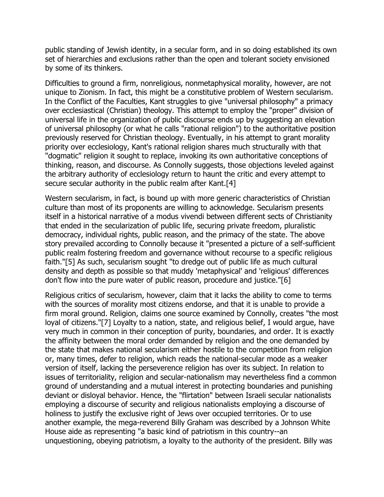public standing of Jewish identity, in a secular form, and in so doing established its own set of hierarchies and exclusions rather than the open and tolerant society envisioned by some of its thinkers.

Difficulties to ground a firm, nonreligious, nonmetaphysical morality, however, are not unique to Zionism. In fact, this might be a constitutive problem of Western secularism. In the Conflict of the Faculties, Kant struggles to give "universal philosophy" a primacy over ecclesiastical (Christian) theology. This attempt to employ the "proper" division of universal life in the organization of public discourse ends up by suggesting an elevation of universal philosophy (or what he calls "rational religion") to the authoritative position previously reserved for Christian theology. Eventually, in his attempt to grant morality priority over ecclesiology, Kant's rational religion shares much structurally with that "dogmatic" religion it sought to replace, invoking its own authoritative conceptions of thinking, reason, and discourse. As Connolly suggests, those objections leveled against the arbitrary authority of ecclesiology return to haunt the critic and every attempt to secure secular authority in the public realm after Kant.[4]

Western secularism, in fact, is bound up with more generic characteristics of Christian culture than most of its proponents are willing to acknowledge. Secularism presents itself in a historical narrative of a modus vivendi between different sects of Christianity that ended in the secularization of public life, securing private freedom, pluralistic democracy, individual rights, public reason, and the primacy of the state. The above story prevailed according to Connolly because it "presented a picture of a self-sufficient public realm fostering freedom and governance without recourse to a specific religious faith."[5] As such, secularism sought "to dredge out of public life as much cultural density and depth as possible so that muddy 'metaphysical' and 'religious' differences don't flow into the pure water of public reason, procedure and justice."[6]

Religious critics of secularism, however, claim that it lacks the ability to come to terms with the sources of morality most citizens endorse, and that it is unable to provide a firm moral ground. Religion, claims one source examined by Connolly, creates "the most loyal of citizens."[7] Loyalty to a nation, state, and religious belief, I would argue, have very much in common in their conception of purity, boundaries, and order. It is exactly the affinity between the moral order demanded by religion and the one demanded by the state that makes national secularism either hostile to the competition from religion or, many times, defer to religion, which reads the national-secular mode as a weaker version of itself, lacking the perseverence religion has over its subject. In relation to issues of territoriality, religion and secular-nationalism may nevertheless find a common ground of understanding and a mutual interest in protecting boundaries and punishing deviant or disloyal behavior. Hence, the "flirtation" between Israeli secular nationalists employing a discourse of security and religious nationalists employing a discourse of holiness to justify the exclusive right of Jews over occupied territories. Or to use another example, the mega-reverend Billy Graham was described by a Johnson White House aide as representing "a basic kind of patriotism in this country--an unquestioning, obeying patriotism, a loyalty to the authority of the president. Billy was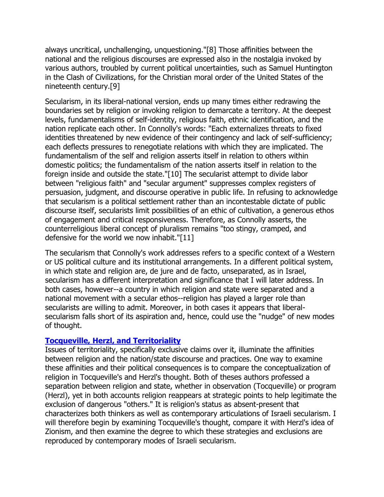always uncritical, unchallenging, unquestioning."[8] Those affinities between the national and the religious discourses are expressed also in the nostalgia invoked by various authors, troubled by current political uncertainties, such as Samuel Huntington in the Clash of Civilizations, for the Christian moral order of the United States of the nineteenth century.[9]

Secularism, in its liberal-national version, ends up many times either redrawing the boundaries set by religion or invoking religion to demarcate a territory. At the deepest levels, fundamentalisms of self-identity, religious faith, ethnic identification, and the nation replicate each other. In Connolly's words: "Each externalizes threats to fixed identities threatened by new evidence of their contingency and lack of self-sufficiency; each deflects pressures to renegotiate relations with which they are implicated. The fundamentalism of the self and religion asserts itself in relation to others within domestic politics; the fundamentalism of the nation asserts itself in relation to the foreign inside and outside the state."[10] The secularist attempt to divide labor between "religious faith" and "secular argument" suppresses complex registers of persuasion, judgment, and discourse operative in public life. In refusing to acknowledge that secularism is a political settlement rather than an incontestable dictate of public discourse itself, secularists limit possibilities of an ethic of cultivation, a generous ethos of engagement and critical responsiveness. Therefore, as Connolly asserts, the counterreligious liberal concept of pluralism remains "too stingy, cramped, and defensive for the world we now inhabit."[11]

The secularism that Connolly's work addresses refers to a specific context of a Western or US political culture and its institutional arrangements. In a different political system, in which state and religion are, de jure and de facto, unseparated, as in Israel, secularism has a different interpretation and significance that I will later address. In both cases, however--a country in which religion and state were separated and a national movement with a secular ethos--religion has played a larger role than secularists are willing to admit. Moreover, in both cases it appears that liberalsecularism falls short of its aspiration and, hence, could use the "nudge" of new modes of thought.

#### **[Tocqueville, Herzl, and Territoriality](http://web.ebscohost.com/ehost/delivery?vid=5&hid=7&sid=5b9ada13-a30d-4fc9-8599-6b3f0acc8934%40sessionmgr7#toc)**

Issues of territoriality, specifically exclusive claims over it, illuminate the affinities between religion and the nation/state discourse and practices. One way to examine these affinities and their political consequences is to compare the conceptualization of religion in Tocqueville's and Herzl's thought. Both of theses authors professed a separation between religion and state, whether in observation (Tocqueville) or program (Herzl), yet in both accounts religion reappears at strategic points to help legitimate the exclusion of dangerous "others." It is religion's status as absent-present that characterizes both thinkers as well as contemporary articulations of Israeli secularism. I will therefore begin by examining Tocqueville's thought, compare it with Herzl's idea of Zionism, and then examine the degree to which these strategies and exclusions are reproduced by contemporary modes of Israeli secularism.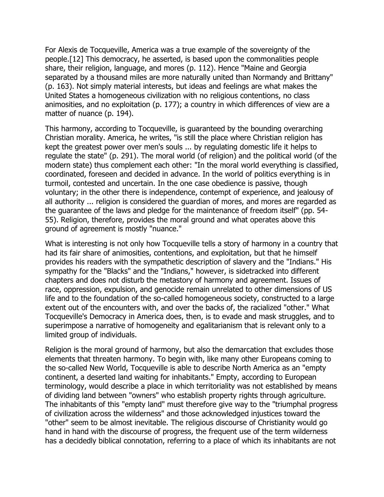For Alexis de Tocqueville, America was a true example of the sovereignty of the people.[12] This democracy, he asserted, is based upon the commonalities people share, their religion, language, and mores (p. 112). Hence "Maine and Georgia separated by a thousand miles are more naturally united than Normandy and Brittany" (p. 163). Not simply material interests, but ideas and feelings are what makes the United States a homogeneous civilization with no religious contentions, no class animosities, and no exploitation (p. 177); a country in which differences of view are a matter of nuance (p. 194).

This harmony, according to Tocqueville, is guaranteed by the bounding overarching Christian morality. America, he writes, "is still the place where Christian religion has kept the greatest power over men's souls ... by regulating domestic life it helps to regulate the state" (p. 291). The moral world (of religion) and the political world (of the modern state) thus complement each other: "In the moral world everything is classified, coordinated, foreseen and decided in advance. In the world of politics everything is in turmoil, contested and uncertain. In the one case obedience is passive, though voluntary; in the other there is independence, contempt of experience, and jealousy of all authority ... religion is considered the guardian of mores, and mores are regarded as the guarantee of the laws and pledge for the maintenance of freedom itself" (pp. 54- 55). Religion, therefore, provides the moral ground and what operates above this ground of agreement is mostly "nuance."

What is interesting is not only how Tocqueville tells a story of harmony in a country that had its fair share of animosities, contentions, and exploitation, but that he himself provides his readers with the sympathetic description of slavery and the "Indians." His sympathy for the "Blacks" and the "Indians," however, is sidetracked into different chapters and does not disturb the metastory of harmony and agreement. Issues of race, oppression, expulsion, and genocide remain unrelated to other dimensions of US life and to the foundation of the so-called homogeneous society, constructed to a large extent out of the encounters with, and over the backs of, the racialized "other." What Tocqueville's Democracy in America does, then, is to evade and mask struggles, and to superimpose a narrative of homogeneity and egalitarianism that is relevant only to a limited group of individuals.

Religion is the moral ground of harmony, but also the demarcation that excludes those elements that threaten harmony. To begin with, like many other Europeans coming to the so-called New World, Tocqueville is able to describe North America as an "empty continent, a deserted land waiting for inhabitants." Empty, according to European terminology, would describe a place in which territoriality was not established by means of dividing land between "owners" who establish property rights through agriculture. The inhabitants of this "empty land" must therefore give way to the "triumphal progress of civilization across the wilderness" and those acknowledged injustices toward the "other" seem to be almost inevitable. The religious discourse of Christianity would go hand in hand with the discourse of progress, the frequent use of the term wilderness has a decidedly biblical connotation, referring to a place of which its inhabitants are not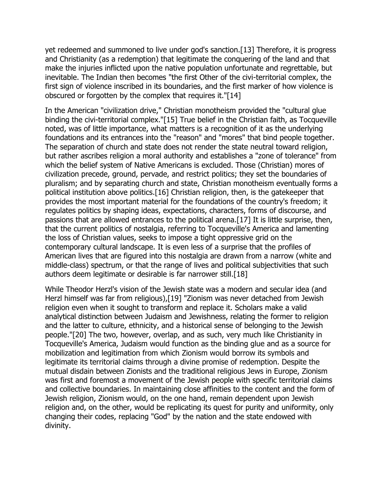yet redeemed and summoned to live under god's sanction.[13] Therefore, it is progress and Christianity (as a redemption) that legitimate the conquering of the land and that make the injuries inflicted upon the native population unfortunate and regrettable, but inevitable. The Indian then becomes "the first Other of the civi-territorial complex, the first sign of violence inscribed in its boundaries, and the first marker of how violence is obscured or forgotten by the complex that requires it."[14]

In the American "civilization drive," Christian monotheism provided the "cultural glue binding the civi-territorial complex."[15] True belief in the Christian faith, as Tocqueville noted, was of little importance, what matters is a recognition of it as the underlying foundations and its entrances into the "reason" and "mores" that bind people together. The separation of church and state does not render the state neutral toward religion, but rather ascribes religion a moral authority and establishes a "zone of tolerance" from which the belief system of Native Americans is excluded. Those (Christian) mores of civilization precede, ground, pervade, and restrict politics; they set the boundaries of pluralism; and by separating church and state, Christian monotheism eventually forms a political institution above politics.[16] Christian religion, then, is the gatekeeper that provides the most important material for the foundations of the country's freedom; it regulates politics by shaping ideas, expectations, characters, forms of discourse, and passions that are allowed entrances to the political arena.[17] It is little surprise, then, that the current politics of nostalgia, referring to Tocqueville's America and lamenting the loss of Christian values, seeks to impose a tight oppressive grid on the contemporary cultural landscape. It is even less of a surprise that the profiles of American lives that are figured into this nostalgia are drawn from a narrow (white and middle-class) spectrum, or that the range of lives and political subjectivities that such authors deem legitimate or desirable is far narrower still.[18]

While Theodor Herzl's vision of the Jewish state was a modern and secular idea (and Herzl himself was far from religious),[19] "Zionism was never detached from Jewish religion even when it sought to transform and replace it. Scholars make a valid analytical distinction between Judaism and Jewishness, relating the former to religion and the latter to culture, ethnicity, and a historical sense of belonging to the Jewish people."[20] The two, however, overlap, and as such, very much like Christianity in Tocqueville's America, Judaism would function as the binding glue and as a source for mobilization and legitimation from which Zionism would borrow its symbols and legitimate its territorial claims through a divine promise of redemption. Despite the mutual disdain between Zionists and the traditional religious Jews in Europe, Zionism was first and foremost a movement of the Jewish people with specific territorial claims and collective boundaries. In maintaining close affinities to the content and the form of Jewish religion, Zionism would, on the one hand, remain dependent upon Jewish religion and, on the other, would be replicating its quest for purity and uniformity, only changing their codes, replacing "God" by the nation and the state endowed with divinity.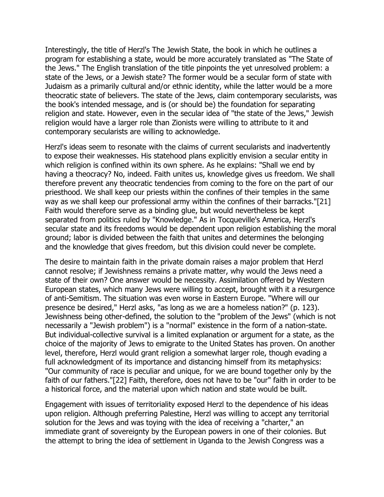Interestingly, the title of Herzl's The Jewish State, the book in which he outlines a program for establishing a state, would be more accurately translated as "The State of the Jews." The English translation of the title pinpoints the yet unresolved problem: a state of the Jews, or a Jewish state? The former would be a secular form of state with Judaism as a primarily cultural and/or ethnic identity, while the latter would be a more theocratic state of believers. The state of the Jews, claim contemporary secularists, was the book's intended message, and is (or should be) the foundation for separating religion and state. However, even in the secular idea of "the state of the Jews," Jewish religion would have a larger role than Zionists were willing to attribute to it and contemporary secularists are willing to acknowledge.

Herzl's ideas seem to resonate with the claims of current secularists and inadvertently to expose their weaknesses. His statehood plans explicitly envision a secular entity in which religion is confined within its own sphere. As he explains: "Shall we end by having a theocracy? No, indeed. Faith unites us, knowledge gives us freedom. We shall therefore prevent any theocratic tendencies from coming to the fore on the part of our priesthood. We shall keep our priests within the confines of their temples in the same way as we shall keep our professional army within the confines of their barracks."[21] Faith would therefore serve as a binding glue, but would nevertheless be kept separated from politics ruled by "Knowledge." As in Tocqueville's America, Herzl's secular state and its freedoms would be dependent upon religion establishing the moral ground; labor is divided between the faith that unites and determines the belonging and the knowledge that gives freedom, but this division could never be complete.

The desire to maintain faith in the private domain raises a major problem that Herzl cannot resolve; if Jewishness remains a private matter, why would the Jews need a state of their own? One answer would be necessity. Assimilation offered by Western European states, which many Jews were willing to accept, brought with it a resurgence of anti-Semitism. The situation was even worse in Eastern Europe. "Where will our presence be desired," Herzl asks, "as long as we are a homeless nation?" (p. 123). Jewishness being other-defined, the solution to the "problem of the Jews" (which is not necessarily a "Jewish problem") is a "normal" existence in the form of a nation-state. But individual-collective survival is a limited explanation or argument for a state, as the choice of the majority of Jews to emigrate to the United States has proven. On another level, therefore, Herzl would grant religion a somewhat larger role, though evading a full acknowledgment of its importance and distancing himself from its metaphysics: "Our community of race is peculiar and unique, for we are bound together only by the faith of our fathers."[22] Faith, therefore, does not have to be "our" faith in order to be a historical force, and the material upon which nation and state would be built.

Engagement with issues of territoriality exposed Herzl to the dependence of his ideas upon religion. Although preferring Palestine, Herzl was willing to accept any territorial solution for the Jews and was toying with the idea of receiving a "charter," an immediate grant of sovereignty by the European powers in one of their colonies. But the attempt to bring the idea of settlement in Uganda to the Jewish Congress was a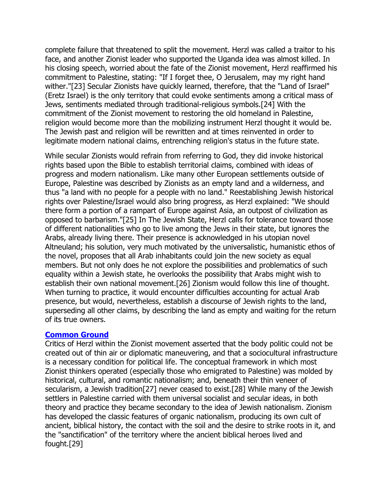complete failure that threatened to split the movement. Herzl was called a traitor to his face, and another Zionist leader who supported the Uganda idea was almost killed. In his closing speech, worried about the fate of the Zionist movement, Herzl reaffirmed his commitment to Palestine, stating: "If I forget thee, O Jerusalem, may my right hand wither."[23] Secular Zionists have quickly learned, therefore, that the "Land of Israel" (Eretz Israel) is the only territory that could evoke sentiments among a critical mass of Jews, sentiments mediated through traditional-religious symbols.[24] With the commitment of the Zionist movement to restoring the old homeland in Palestine, religion would become more than the mobilizing instrument Herzl thought it would be. The Jewish past and religion will be rewritten and at times reinvented in order to legitimate modern national claims, entrenching religion's status in the future state.

While secular Zionists would refrain from referring to God, they did invoke historical rights based upon the Bible to establish territorial claims, combined with ideas of progress and modern nationalism. Like many other European settlements outside of Europe, Palestine was described by Zionists as an empty land and a wilderness, and thus "a land with no people for a people with no land." Reestablishing Jewish historical rights over Palestine/Israel would also bring progress, as Herzl explained: "We should there form a portion of a rampart of Europe against Asia, an outpost of civilization as opposed to barbarism."[25] In The Jewish State, Herzl calls for tolerance toward those of different nationalities who go to live among the Jews in their state, but ignores the Arabs, already living there. Their presence is acknowledged in his utopian novel Altneuland; his solution, very much motivated by the universalistic, humanistic ethos of the novel, proposes that all Arab inhabitants could join the new society as equal members. But not only does he not explore the possibilities and problematics of such equality within a Jewish state, he overlooks the possibility that Arabs might wish to establish their own national movement.[26] Zionism would follow this line of thought. When turning to practice, it would encounter difficulties accounting for actual Arab presence, but would, nevertheless, establish a discourse of Jewish rights to the land, superseding all other claims, by describing the land as empty and waiting for the return of its true owners.

#### **[Common Ground](http://web.ebscohost.com/ehost/delivery?vid=5&hid=7&sid=5b9ada13-a30d-4fc9-8599-6b3f0acc8934%40sessionmgr7#toc)**

Critics of Herzl within the Zionist movement asserted that the body politic could not be created out of thin air or diplomatic maneuvering, and that a sociocultural infrastructure is a necessary condition for political life. The conceptual framework in which most Zionist thinkers operated (especially those who emigrated to Palestine) was molded by historical, cultural, and romantic nationalism; and, beneath their thin veneer of secularism, a Jewish tradition[27] never ceased to exist.[28] While many of the Jewish settlers in Palestine carried with them universal socialist and secular ideas, in both theory and practice they became secondary to the idea of Jewish nationalism. Zionism has developed the classic features of organic nationalism, producing its own cult of ancient, biblical history, the contact with the soil and the desire to strike roots in it, and the "sanctification" of the territory where the ancient biblical heroes lived and fought.[29]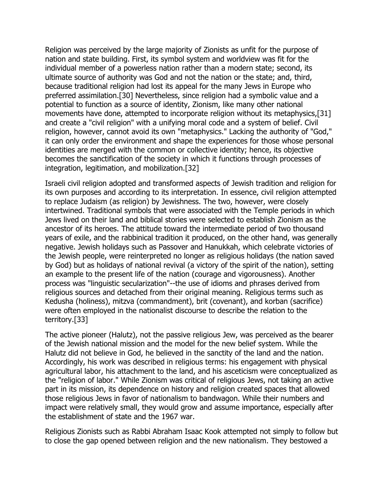Religion was perceived by the large majority of Zionists as unfit for the purpose of nation and state building. First, its symbol system and worldview was fit for the individual member of a powerless nation rather than a modern state; second, its ultimate source of authority was God and not the nation or the state; and, third, because traditional religion had lost its appeal for the many Jews in Europe who preferred assimilation.[30] Nevertheless, since religion had a symbolic value and a potential to function as a source of identity, Zionism, like many other national movements have done, attempted to incorporate religion without its metaphysics,[31] and create a "civil religion" with a unifying moral code and a system of belief. Civil religion, however, cannot avoid its own "metaphysics." Lacking the authority of "God," it can only order the environment and shape the experiences for those whose personal identities are merged with the common or collective identity; hence, its objective becomes the sanctification of the society in which it functions through processes of integration, legitimation, and mobilization.[32]

Israeli civil religion adopted and transformed aspects of Jewish tradition and religion for its own purposes and according to its interpretation. In essence, civil religion attempted to replace Judaism (as religion) by Jewishness. The two, however, were closely intertwined. Traditional symbols that were associated with the Temple periods in which Jews lived on their land and biblical stories were selected to establish Zionism as the ancestor of its heroes. The attitude toward the intermediate period of two thousand years of exile, and the rabbinical tradition it produced, on the other hand, was generally negative. Jewish holidays such as Passover and Hanukkah, which celebrate victories of the Jewish people, were reinterpreted no longer as religious holidays (the nation saved by God) but as holidays of national revival (a victory of the spirit of the nation), setting an example to the present life of the nation (courage and vigorousness). Another process was "linguistic secularization"--the use of idioms and phrases derived from religious sources and detached from their original meaning. Religious terms such as Kedusha (holiness), mitzva (commandment), brit (covenant), and korban (sacrifice) were often employed in the nationalist discourse to describe the relation to the territory.[33]

The active pioneer (Halutz), not the passive religious Jew, was perceived as the bearer of the Jewish national mission and the model for the new belief system. While the Halutz did not believe in God, he believed in the sanctity of the land and the nation. Accordingly, his work was described in religious terms: his engagement with physical agricultural labor, his attachment to the land, and his asceticism were conceptualized as the "religion of labor." While Zionism was critical of religious Jews, not taking an active part in its mission, its dependence on history and religion created spaces that allowed those religious Jews in favor of nationalism to bandwagon. While their numbers and impact were relatively small, they would grow and assume importance, especially after the establishment of state and the 1967 war.

Religious Zionists such as Rabbi Abraham Isaac Kook attempted not simply to follow but to close the gap opened between religion and the new nationalism. They bestowed a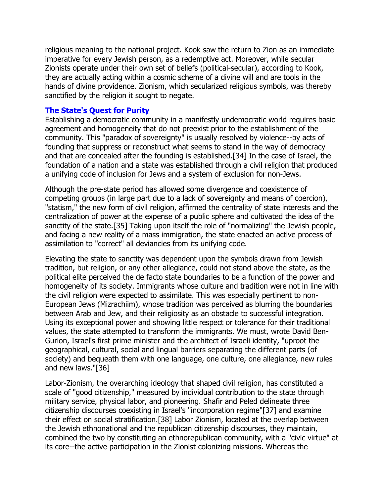religious meaning to the national project. Kook saw the return to Zion as an immediate imperative for every Jewish person, as a redemptive act. Moreover, while secular Zionists operate under their own set of beliefs (political-secular), according to Kook, they are actually acting within a cosmic scheme of a divine will and are tools in the hands of divine providence. Zionism, which secularized religious symbols, was thereby sanctified by the religion it sought to negate.

#### **[The State's Quest for Purity](http://web.ebscohost.com/ehost/delivery?vid=5&hid=7&sid=5b9ada13-a30d-4fc9-8599-6b3f0acc8934%40sessionmgr7#toc)**

Establishing a democratic community in a manifestly undemocratic world requires basic agreement and homogeneity that do not preexist prior to the establishment of the community. This "paradox of sovereignty" is usually resolved by violence--by acts of founding that suppress or reconstruct what seems to stand in the way of democracy and that are concealed after the founding is established.[34] In the case of Israel, the foundation of a nation and a state was established through a civil religion that produced a unifying code of inclusion for Jews and a system of exclusion for non-Jews.

Although the pre-state period has allowed some divergence and coexistence of competing groups (in large part due to a lack of sovereignty and means of coercion), "statism," the new form of civil religion, affirmed the centrality of state interests and the centralization of power at the expense of a public sphere and cultivated the idea of the sanctity of the state.[35] Taking upon itself the role of "normalizing" the Jewish people, and facing a new reality of a mass immigration, the state enacted an active process of assimilation to "correct" all deviancies from its unifying code.

Elevating the state to sanctity was dependent upon the symbols drawn from Jewish tradition, but religion, or any other allegiance, could not stand above the state, as the political elite perceived the de facto state boundaries to be a function of the power and homogeneity of its society. Immigrants whose culture and tradition were not in line with the civil religion were expected to assimilate. This was especially pertinent to non-European Jews (Mizrachiim), whose tradition was perceived as blurring the boundaries between Arab and Jew, and their religiosity as an obstacle to successful integration. Using its exceptional power and showing little respect or tolerance for their traditional values, the state attempted to transform the immigrants. We must, wrote David Ben-Gurion, Israel's first prime minister and the architect of Israeli identity, "uproot the geographical, cultural, social and lingual barriers separating the different parts (of society) and bequeath them with one language, one culture, one allegiance, new rules and new laws."[36]

Labor-Zionism, the overarching ideology that shaped civil religion, has constituted a scale of "good citizenship," measured by individual contribution to the state through military service, physical labor, and pioneering. Shafir and Peled delineate three citizenship discourses coexisting in Israel's "incorporation regime"[37] and examine their effect on social stratification.[38] Labor Zionism, located at the overlap between the Jewish ethnonational and the republican citizenship discourses, they maintain, combined the two by constituting an ethnorepublican community, with a "civic virtue" at its core--the active participation in the Zionist colonizing missions. Whereas the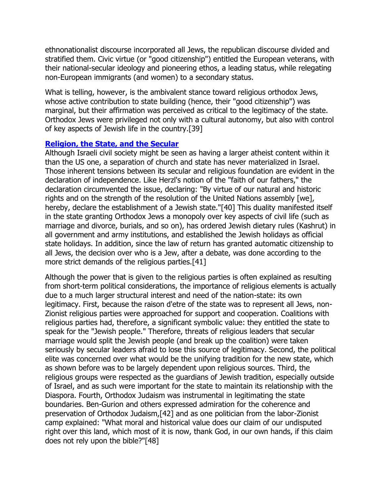ethnonationalist discourse incorporated all Jews, the republican discourse divided and stratified them. Civic virtue (or "good citizenship") entitled the European veterans, with their national-secular ideology and pioneering ethos, a leading status, while relegating non-European immigrants (and women) to a secondary status.

What is telling, however, is the ambivalent stance toward religious orthodox Jews, whose active contribution to state building (hence, their "good citizenship") was marginal, but their affirmation was perceived as critical to the legitimacy of the state. Orthodox Jews were privileged not only with a cultural autonomy, but also with control of key aspects of Jewish life in the country.[39]

### **[Religion, the State, and the Secular](http://web.ebscohost.com/ehost/delivery?vid=5&hid=7&sid=5b9ada13-a30d-4fc9-8599-6b3f0acc8934%40sessionmgr7#toc)**

Although Israeli civil society might be seen as having a larger atheist content within it than the US one, a separation of church and state has never materialized in Israel. Those inherent tensions between its secular and religious foundation are evident in the declaration of independence. Like Herzl's notion of the "faith of our fathers," the declaration circumvented the issue, declaring: "By virtue of our natural and historic rights and on the strength of the resolution of the United Nations assembly [we], hereby, declare the establishment of a Jewish state."[40] This duality manifested itself in the state granting Orthodox Jews a monopoly over key aspects of civil life (such as marriage and divorce, burials, and so on), has ordered Jewish dietary rules (Kashrut) in all government and army institutions, and established the Jewish holidays as official state holidays. In addition, since the law of return has granted automatic citizenship to all Jews, the decision over who is a Jew, after a debate, was done according to the more strict demands of the religious parties.[41]

Although the power that is given to the religious parties is often explained as resulting from short-term political considerations, the importance of religious elements is actually due to a much larger structural interest and need of the nation-state: its own legitimacy. First, because the raison d'etre of the state was to represent all Jews, non-Zionist religious parties were approached for support and cooperation. Coalitions with religious parties had, therefore, a significant symbolic value: they entitled the state to speak for the "Jewish people." Therefore, threats of religious leaders that secular marriage would split the Jewish people (and break up the coalition) were taken seriously by secular leaders afraid to lose this source of legitimacy. Second, the political elite was concerned over what would be the unifying tradition for the new state, which as shown before was to be largely dependent upon religious sources. Third, the religious groups were respected as the guardians of Jewish tradition, especially outside of Israel, and as such were important for the state to maintain its relationship with the Diaspora. Fourth, Orthodox Judaism was instrumental in legitimating the state boundaries. Ben-Gurion and others expressed admiration for the coherence and preservation of Orthodox Judaism,[42] and as one politician from the labor-Zionist camp explained: "What moral and historical value does our claim of our undisputed right over this land, which most of it is now, thank God, in our own hands, if this claim does not rely upon the bible?"[48]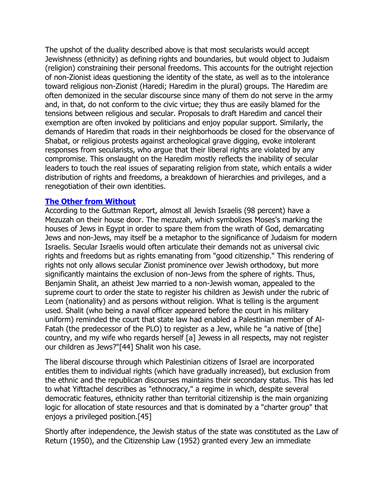The upshot of the duality described above is that most secularists would accept Jewishness (ethnicity) as defining rights and boundaries, but would object to Judaism (religion) constraining their personal freedoms. This accounts for the outright rejection of non-Zionist ideas questioning the identity of the state, as well as to the intolerance toward religious non-Zionist (Haredi; Haredim in the plural) groups. The Haredim are often demonized in the secular discourse since many of them do not serve in the army and, in that, do not conform to the civic virtue; they thus are easily blamed for the tensions between religious and secular. Proposals to draft Haredim and cancel their exemption are often invoked by politicians and enjoy popular support. Similarly, the demands of Haredim that roads in their neighborhoods be closed for the observance of Shabat, or religious protests against archeological grave digging, evoke intolerant responses from secularists, who argue that their liberal rights are violated by any compromise. This onslaught on the Haredim mostly reflects the inability of secular leaders to touch the real issues of separating religion from state, which entails a wider distribution of rights and freedoms, a breakdown of hierarchies and privileges, and a renegotiation of their own identities.

#### **[The Other from Without](http://web.ebscohost.com/ehost/delivery?vid=5&hid=7&sid=5b9ada13-a30d-4fc9-8599-6b3f0acc8934%40sessionmgr7#toc)**

According to the Guttman Report, almost all Jewish Israelis (98 percent) have a Mezuzah on their house door. The mezuzah, which symbolizes Moses's marking the houses of Jews in Egypt in order to spare them from the wrath of God, demarcating Jews and non-Jews, may itself be a metaphor to the significance of Judaism for modern Israelis. Secular Israelis would often articulate their demands not as universal civic rights and freedoms but as rights emanating from "good citizenship." This rendering of rights not only allows secular Zionist prominence over Jewish orthodoxy, but more significantly maintains the exclusion of non-Jews from the sphere of rights. Thus, Benjamin Shalit, an atheist Jew married to a non-Jewish woman, appealed to the supreme court to order the state to register his children as Jewish under the rubric of Leom (nationality) and as persons without religion. What is telling is the argument used. Shalit (who being a naval officer appeared before the court in his military uniform) reminded the court that state law had enabled a Palestinian member of Al-Fatah (the predecessor of the PLO) to register as a Jew, while he "a native of [the] country, and my wife who regards herself [a] Jewess in all respects, may not register our children as Jews?"[44] Shalit won his case.

The liberal discourse through which Palestinian citizens of Israel are incorporated entitles them to individual rights (which have gradually increased), but exclusion from the ethnic and the republican discourses maintains their secondary status. This has led to what Yifttachel describes as "ethnocracy," a regime in which, despite several democratic features, ethnicity rather than territorial citizenship is the main organizing logic for allocation of state resources and that is dominated by a "charter group" that enjoys a privileged position.[45]

Shortly after independence, the Jewish status of the state was constituted as the Law of Return (1950), and the Citizenship Law (1952) granted every Jew an immediate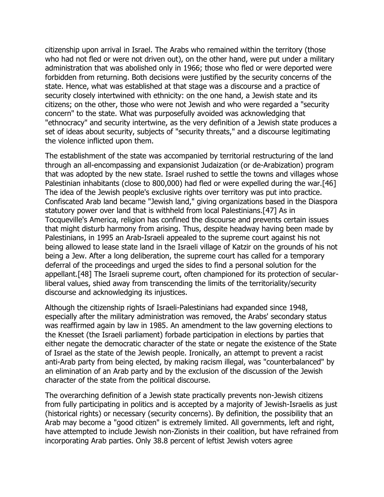citizenship upon arrival in Israel. The Arabs who remained within the territory (those who had not fled or were not driven out), on the other hand, were put under a military administration that was abolished only in 1966; those who fled or were deported were forbidden from returning. Both decisions were justified by the security concerns of the state. Hence, what was established at that stage was a discourse and a practice of security closely intertwined with ethnicity: on the one hand, a Jewish state and its citizens; on the other, those who were not Jewish and who were regarded a "security concern" to the state. What was purposefully avoided was acknowledging that "ethnocracy" and security intertwine, as the very definition of a Jewish state produces a set of ideas about security, subjects of "security threats," and a discourse legitimating the violence inflicted upon them.

The establishment of the state was accompanied by territorial restructuring of the land through an all-encompassing and expansionist Judaization (or de-Arabization) program that was adopted by the new state. Israel rushed to settle the towns and villages whose Palestinian inhabitants (close to 800,000) had fled or were expelled during the war.[46] The idea of the Jewish people's exclusive rights over territory was put into practice. Confiscated Arab land became "Jewish land," giving organizations based in the Diaspora statutory power over land that is withheld from local Palestinians.[47] As in Tocqueville's America, religion has confined the discourse and prevents certain issues that might disturb harmony from arising. Thus, despite headway having been made by Palestinians, in 1995 an Arab-Israeli appealed to the supreme court against his not being allowed to lease state land in the Israeli village of Katzir on the grounds of his not being a Jew. After a long deliberation, the supreme court has called for a temporary deferral of the proceedings and urged the sides to find a personal solution for the appellant.[48] The Israeli supreme court, often championed for its protection of secularliberal values, shied away from transcending the limits of the territoriality/security discourse and acknowledging its injustices.

Although the citizenship rights of Israeli-Palestinians had expanded since 1948, especially after the military administration was removed, the Arabs' secondary status was reaffirmed again by law in 1985. An amendment to the law governing elections to the Knesset (the Israeli parliament) forbade participation in elections by parties that either negate the democratic character of the state or negate the existence of the State of Israel as the state of the Jewish people. Ironically, an attempt to prevent a racist anti-Arab party from being elected, by making racism illegal, was "counterbalanced" by an elimination of an Arab party and by the exclusion of the discussion of the Jewish character of the state from the political discourse.

The overarching definition of a Jewish state practically prevents non-Jewish citizens from fully participating in politics and is accepted by a majority of Jewish-Israelis as just (historical rights) or necessary (security concerns). By definition, the possibility that an Arab may become a "good citizen" is extremely limited. All governments, left and right, have attempted to include Jewish non-Zionists in their coalition, but have refrained from incorporating Arab parties. Only 38.8 percent of leftist Jewish voters agree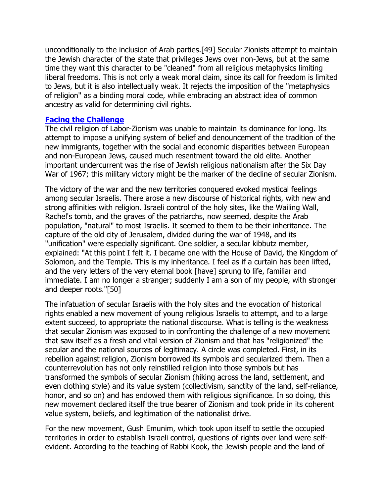unconditionally to the inclusion of Arab parties.[49] Secular Zionists attempt to maintain the Jewish character of the state that privileges Jews over non-Jews, but at the same time they want this character to be "cleaned" from all religious metaphysics limiting liberal freedoms. This is not only a weak moral claim, since its call for freedom is limited to Jews, but it is also intellectually weak. It rejects the imposition of the "metaphysics of religion" as a binding moral code, while embracing an abstract idea of common ancestry as valid for determining civil rights.

#### **[Facing the Challenge](http://web.ebscohost.com/ehost/delivery?vid=5&hid=7&sid=5b9ada13-a30d-4fc9-8599-6b3f0acc8934%40sessionmgr7#toc)**

The civil religion of Labor-Zionism was unable to maintain its dominance for long. Its attempt to impose a unifying system of belief and denouncement of the tradition of the new immigrants, together with the social and economic disparities between European and non-European Jews, caused much resentment toward the old elite. Another important undercurrent was the rise of Jewish religious nationalism after the Six Day War of 1967; this military victory might be the marker of the decline of secular Zionism.

The victory of the war and the new territories conquered evoked mystical feelings among secular Israelis. There arose a new discourse of historical rights, with new and strong affinities with religion. Israeli control of the holy sites, like the Wailing Wall, Rachel's tomb, and the graves of the patriarchs, now seemed, despite the Arab population, "natural" to most Israelis. It seemed to them to be their inheritance. The capture of the old city of Jerusalem, divided during the war of 1948, and its "unification" were especially significant. One soldier, a secular kibbutz member, explained: "At this point I felt it. I became one with the House of David, the Kingdom of Solomon, and the Temple. This is my inheritance. I feel as if a curtain has been lifted, and the very letters of the very eternal book [have] sprung to life, familiar and immediate. I am no longer a stranger; suddenly I am a son of my people, with stronger and deeper roots."[50]

The infatuation of secular Israelis with the holy sites and the evocation of historical rights enabled a new movement of young religious Israelis to attempt, and to a large extent succeed, to appropriate the national discourse. What is telling is the weakness that secular Zionism was exposed to in confronting the challenge of a new movement that saw itself as a fresh and vital version of Zionism and that has "religionized" the secular and the national sources of legitimacy. A circle was completed. First, in its rebellion against religion, Zionism borrowed its symbols and secularized them. Then a counterrevolution has not only reinstilled religion into those symbols but has transformed the symbols of secular Zionism (hiking across the land, settlement, and even clothing style) and its value system (collectivism, sanctity of the land, self-reliance, honor, and so on) and has endowed them with religious significance. In so doing, this new movement declared itself the true bearer of Zionism and took pride in its coherent value system, beliefs, and legitimation of the nationalist drive.

For the new movement, Gush Emunim, which took upon itself to settle the occupied territories in order to establish Israeli control, questions of rights over land were selfevident. According to the teaching of Rabbi Kook, the Jewish people and the land of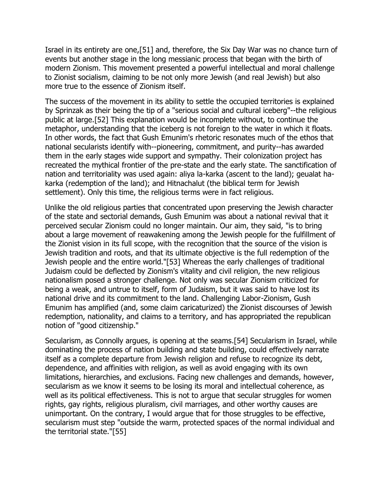Israel in its entirety are one,[51] and, therefore, the Six Day War was no chance turn of events but another stage in the long messianic process that began with the birth of modern Zionism. This movement presented a powerful intellectual and moral challenge to Zionist socialism, claiming to be not only more Jewish (and real Jewish) but also more true to the essence of Zionism itself.

The success of the movement in its ability to settle the occupied territories is explained by Sprinzak as their being the tip of a "serious social and cultural iceberg"--the religious public at large.[52] This explanation would be incomplete without, to continue the metaphor, understanding that the iceberg is not foreign to the water in which it floats. In other words, the fact that Gush Emunim's rhetoric resonates much of the ethos that national secularists identify with--pioneering, commitment, and purity--has awarded them in the early stages wide support and sympathy. Their colonization project has recreated the mythical frontier of the pre-state and the early state. The sanctification of nation and territoriality was used again: aliya la-karka (ascent to the land); geualat hakarka (redemption of the land); and Hitnachalut (the biblical term for Jewish settlement). Only this time, the religious terms were in fact religious.

Unlike the old religious parties that concentrated upon preserving the Jewish character of the state and sectorial demands, Gush Emunim was about a national revival that it perceived secular Zionism could no longer maintain. Our aim, they said, "is to bring about a large movement of reawakening among the Jewish people for the fulfillment of the Zionist vision in its full scope, with the recognition that the source of the vision is Jewish tradition and roots, and that its ultimate objective is the full redemption of the Jewish people and the entire world."[53] Whereas the early challenges of traditional Judaism could be deflected by Zionism's vitality and civil religion, the new religious nationalism posed a stronger challenge. Not only was secular Zionism criticized for being a weak, and untrue to itself, form of Judaism, but it was said to have lost its national drive and its commitment to the land. Challenging Labor-Zionism, Gush Emunim has amplified (and, some claim caricaturized) the Zionist discourses of Jewish redemption, nationality, and claims to a territory, and has appropriated the republican notion of "good citizenship."

Secularism, as Connolly argues, is opening at the seams.[54] Secularism in Israel, while dominating the process of nation building and state building, could effectively narrate itself as a complete departure from Jewish religion and refuse to recognize its debt, dependence, and affinities with religion, as well as avoid engaging with its own limitations, hierarchies, and exclusions. Facing new challenges and demands, however, secularism as we know it seems to be losing its moral and intellectual coherence, as well as its political effectiveness. This is not to argue that secular struggles for women rights, gay rights, religious pluralism, civil marriages, and other worthy causes are unimportant. On the contrary, I would argue that for those struggles to be effective, secularism must step "outside the warm, protected spaces of the normal individual and the territorial state."[55]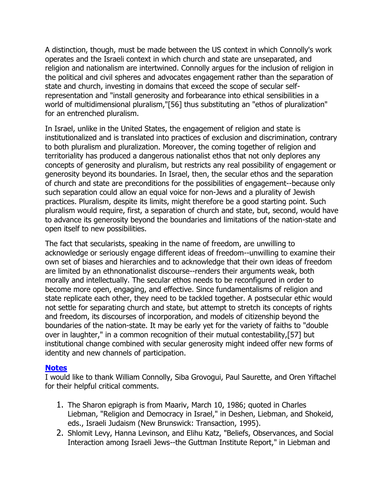A distinction, though, must be made between the US context in which Connolly's work operates and the Israeli context in which church and state are unseparated, and religion and nationalism are intertwined. Connolly argues for the inclusion of religion in the political and civil spheres and advocates engagement rather than the separation of state and church, investing in domains that exceed the scope of secular selfrepresentation and "install generosity and forbearance into ethical sensibilities in a world of multidimensional pluralism,"[56] thus substituting an "ethos of pluralization" for an entrenched pluralism.

In Israel, unlike in the United States, the engagement of religion and state is institutionalized and is translated into practices of exclusion and discrimination, contrary to both pluralism and pluralization. Moreover, the coming together of religion and territoriality has produced a dangerous nationalist ethos that not only deplores any concepts of generosity and pluralism, but restricts any real possibility of engagement or generosity beyond its boundaries. In Israel, then, the secular ethos and the separation of church and state are preconditions for the possibilities of engagement--because only such separation could allow an equal voice for non-Jews and a plurality of Jewish practices. Pluralism, despite its limits, might therefore be a good starting point. Such pluralism would require, first, a separation of church and state, but, second, would have to advance its generosity beyond the boundaries and limitations of the nation-state and open itself to new possibilities.

The fact that secularists, speaking in the name of freedom, are unwilling to acknowledge or seriously engage different ideas of freedom--unwilling to examine their own set of biases and hierarchies and to acknowledge that their own ideas of freedom are limited by an ethnonationalist discourse--renders their arguments weak, both morally and intellectually. The secular ethos needs to be reconfigured in order to become more open, engaging, and effective. Since fundamentalisms of religion and state replicate each other, they need to be tackled together. A postsecular ethic would not settle for separating church and state, but attempt to stretch its concepts of rights and freedom, its discourses of incorporation, and models of citizenship beyond the boundaries of the nation-state. It may be early yet for the variety of faiths to "double over in laughter," in a common recognition of their mutual contestability,[57] but institutional change combined with secular generosity might indeed offer new forms of identity and new channels of participation.

#### **[Notes](http://web.ebscohost.com/ehost/delivery?vid=5&hid=7&sid=5b9ada13-a30d-4fc9-8599-6b3f0acc8934%40sessionmgr7#toc)**

I would like to thank William Connolly, Siba Grovogui, Paul Saurette, and Oren Yiftachel for their helpful critical comments.

- 1. The Sharon epigraph is from Maariv, March 10, 1986; quoted in Charles Liebman, "Religion and Democracy in Israel," in Deshen, Liebman, and Shokeid, eds., Israeli Judaism (New Brunswick: Transaction, 1995).
- 2. Shlomit Levy, Hanna Levinson, and Elihu Katz, "Beliefs, Observances, and Social Interaction among Israeli Jews--the Guttman Institute Report," in Liebman and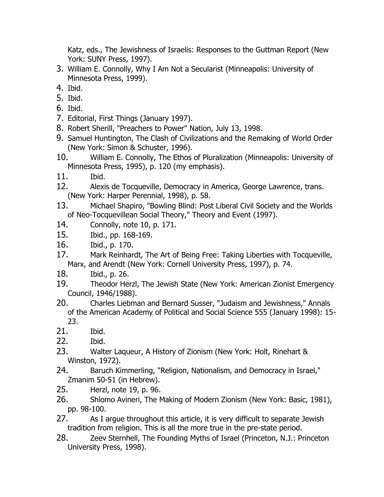Katz, eds., The Jewishness of Israelis: Responses to the Guttman Report (New York: SUNY Press, 1997).

- 3. William E. Connolly, Why I Am Not a Secularist (Minneapolis: University of Minnesota Press, 1999).
- 4. Ibid.
- 5. Ibid.
- 6. Ibid.
- 7. Editorial, First Things (January 1997).
- 8. Robert Sherill, "Preachers to Power" Nation, July 13, 1998.
- 9. Samuel Huntington, The Clash of Civilizations and the Remaking of World Order (New York: Simon & Schuster, 1996).
- 10. William E. Connolly, The Ethos of Pluralization (Minneapolis: University of Minnesota Press, 1995), p. 120 (my emphasis).
- 11. Ibid.
- 12. Alexis de Tocqueville, Democracy in America, George Lawrence, trans. (New York: Harper Perennial, 1998), p. 58.
- 13. Michael Shapiro, "Bowling Blind: Post Liberal Civil Society and the Worlds of Neo-Tocquevillean Social Theory," Theory and Event (1997).
- 14. Connolly, note 10, p. 171.
- 15. Ibid., pp. 168-169.
- 16. Ibid., p. 170.
- 17. Mark Reinhardt, The Art of Being Free: Taking Liberties with Tocqueville, Marx, and Arendt (New York: Cornell University Press, 1997), p. 74.
- 18. Ibid., p. 26.
- 19. Theodor Herzl, The Jewish State (New York: American Zionist Emergency Council, 1946/1988).
- 20. Charles Liebman and Bernard Susser, "Judaism and Jewishness," Annals of the American Academy of Political and Social Science 555 (January 1998): 15- 23.
- 21. Ibid.
- 22. Ibid.
- 23. Walter Laqueur, A History of Zionism (New York: Holt, Rinehart & Winston, 1972).
- 24. Baruch Kimmerling, "Religion, Nationalism, and Democracy in Israel," Zmanim 50-51 (in Hebrew).
- 25. Herzl, note 19, p. 96.
- 26. Shlomo Avineri, The Making of Modern Zionism (New York: Basic, 1981), pp. 98-100.
- 27. As I argue throughout this article, it is very difficult to separate Jewish tradition from religion. This is all the more true in the pre-state period.
- 28. Zeev Sternhell, The Founding Myths of Israel (Princeton, N.J.: Princeton University Press, 1998).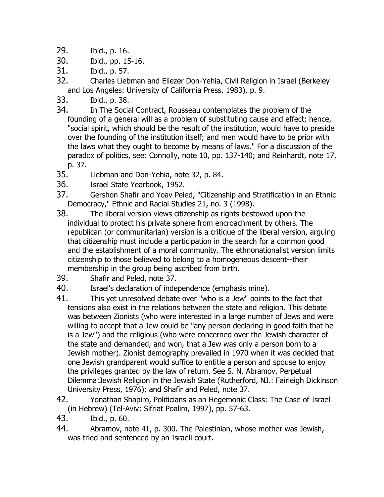- 29. Ibid., p. 16.
- 30. Ibid., pp. 15-16.
- 31. Ibid., p. 57.
- 32. Charles Liebman and Eliezer Don-Yehia, Civil Religion in Israel (Berkeley and Los Angeles: University of California Press, 1983), p. 9.
- 33. Ibid., p. 38.
- 34. In The Social Contract, Rousseau contemplates the problem of the founding of a general will as a problem of substituting cause and effect; hence, "social spirit, which should be the result of the institution, would have to preside over the founding of the institution itself; and men would have to be prior with the laws what they ought to become by means of laws." For a discussion of the paradox of politics, see: Connolly, note 10, pp. 137-140; and Reinhardt, note 17, p. 37.
- 35. Liebman and Don-Yehia, note 32, p. 84.
- 36. Israel State Yearbook, 1952.
- 37. Gershon Shafir and Yoav Peled, "Citizenship and Stratification in an Ethnic Democracy," Ethnic and Racial Studies 21, no. 3 (1998).
- 38. The liberal version views citizenship as rights bestowed upon the individual to protect his private sphere from encroachment by others. The republican (or communitarian) version is a critique of the liberal version, arguing that citizenship must include a participation in the search for a common good and the establishment of a moral community. The ethnonationalist version limits citizenship to those believed to belong to a homogeneous descent--their membership in the group being ascribed from birth.
- 39. Shafir and Peled, note 37.
- 40. Israel's declaration of independence (emphasis mine).
- 41. This yet unresolved debate over "who is a Jew" points to the fact that tensions also exist in the relations between the state and religion. This debate was between Zionists (who were interested in a large number of Jews and were willing to accept that a Jew could be "any person declaring in good faith that he is a Jew") and the religious (who were concerned over the Jewish character of the state and demanded, and won, that a Jew was only a person born to a Jewish mother). Zionist demography prevailed in 1970 when it was decided that one Jewish grandparent would suffice to entitle a person and spouse to enjoy the privileges granted by the law of return. See S. N. Abramov, Perpetual Dilemma:Jewish Religion in the Jewish State (Rutherford, NJ.: Fairleigh Dickinson University Press, 1976); and Shafir and Peled, note 37.
- 42. Yonathan Shapiro, Politicians as an Hegemonic Class: The Case of Israel (in Hebrew) (Tel-Aviv: Sifriat Poalim, 1997), pp. 57-63.
- 43. Ibid., p. 60.
- 44. Abramov, note 41, p. 300. The Palestinian, whose mother was Jewish, was tried and sentenced by an Israeli court.